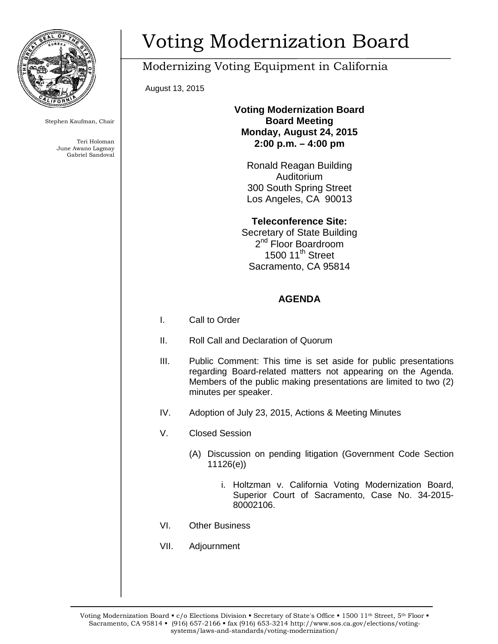

Stephen Kaufman, Chair

Teri Holoman June Awano Lagmay Gabriel Sandoval

# Voting Modernization Board

## Modernizing Voting Equipment in California

August 13, 2015

#### **Voting Modernization Board Board Meeting Monday, August 24, 2015 2:00 p.m. – 4:00 pm**

Ronald Reagan Building Auditorium 300 South Spring Street Los Angeles, CA 90013

**Teleconference Site:** Secretary of State Building 2<sup>nd</sup> Floor Boardroom 1500 11<sup>th</sup> Street Sacramento, CA 95814

### **AGENDA**

- I. Call to Order
- II. Roll Call and Declaration of Quorum
- III. Public Comment: This time is set aside for public presentations regarding Board-related matters not appearing on the Agenda. Members of the public making presentations are limited to two (2) minutes per speaker.
- IV. Adoption of July 23, 2015, Actions & Meeting Minutes
- V. Closed Session
	- (A) Discussion on pending litigation (Government Code Section 11126(e))
		- i. Holtzman v. California Voting Modernization Board, Superior Court of Sacramento, Case No. 34-2015- 80002106.
- VI. Other Business
- VII. Adjournment